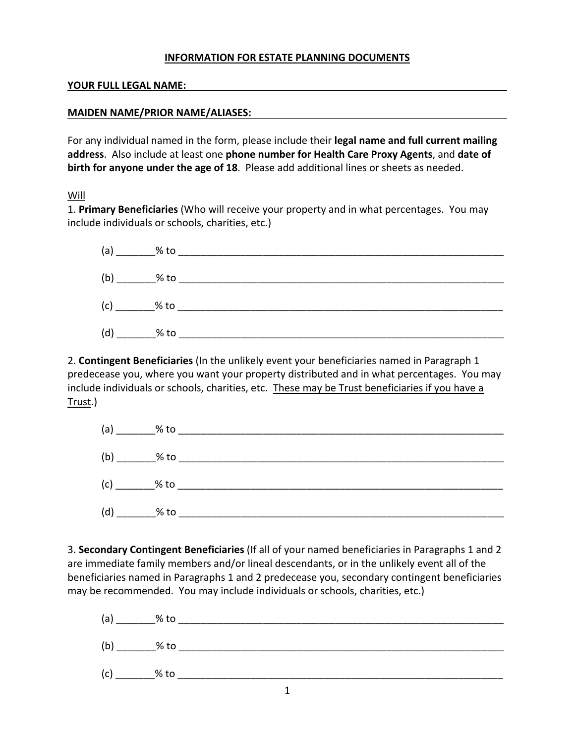## **INFORMATION FOR ESTATE PLANNING DOCUMENTS**

#### YOUR FULL LEGAL NAME:

### **MAIDEN NAME/PRIOR NAME/ALIASES:**

For any individual named in the form, please include their **legal name and full current mailing address**. Also include at least one **phone number for Health Care Proxy Agents**, and **date of birth for anyone under the age of 18**. Please add additional lines or sheets as needed.

### Will

1. **Primary Beneficiaries** (Who will receive your property and in what percentages. You may include individuals or schools, charities, etc.)



2. **Contingent Beneficiaries** (In the unlikely event your beneficiaries named in Paragraph 1 predecease you, where you want your property distributed and in what percentages. You may include individuals or schools, charities, etc. These may be Trust beneficiaries if you have a Trust.)



3. **Secondary Contingent Beneficiaries** (If all of your named beneficiaries in Paragraphs 1 and 2 are immediate family members and/or lineal descendants, or in the unlikely event all of the beneficiaries named in Paragraphs 1 and 2 predecease you, secondary contingent beneficiaries may be recommended. You may include individuals or schools, charities, etc.)

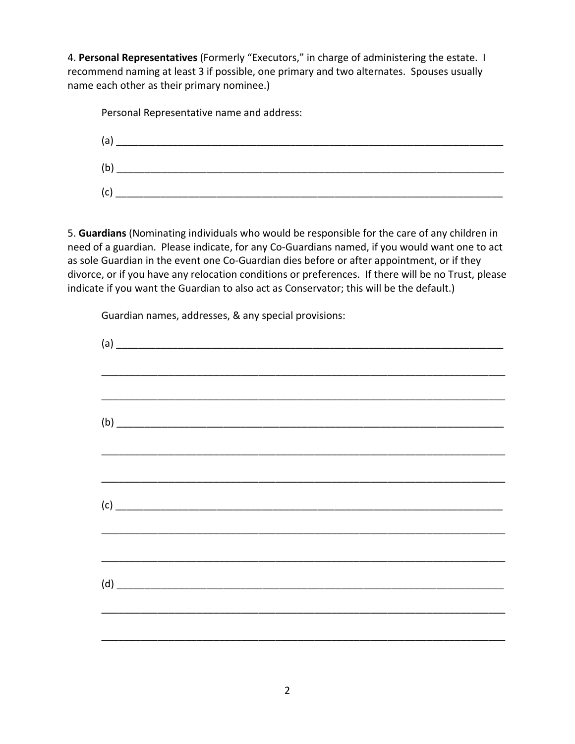4. **Personal Representatives** (Formerly "Executors," in charge of administering the estate. I recommend naming at least 3 if possible, one primary and two alternates. Spouses usually name each other as their primary nominee.)

Personal Representative name and address:

| a |  |  |  |
|---|--|--|--|
| b |  |  |  |
|   |  |  |  |

5. **Guardians** (Nominating individuals who would be responsible for the care of any children in need of a guardian. Please indicate, for any Co‐Guardians named, if you would want one to act as sole Guardian in the event one Co‐Guardian dies before or after appointment, or if they divorce, or if you have any relocation conditions or preferences. If there will be no Trust, please indicate if you want the Guardian to also act as Conservator; this will be the default.)

Guardian names, addresses, & any special provisions:

| $\begin{picture}(150,10) \put(0,0){\vector(1,0){100}} \put(15,0){\vector(1,0){100}} \put(15,0){\vector(1,0){100}} \put(15,0){\vector(1,0){100}} \put(15,0){\vector(1,0){100}} \put(15,0){\vector(1,0){100}} \put(15,0){\vector(1,0){100}} \put(15,0){\vector(1,0){100}} \put(15,0){\vector(1,0){100}} \put(15,0){\vector(1,0){100}} \put(15,0){\vector(1,0){100}}$ |  |  |  |
|--------------------------------------------------------------------------------------------------------------------------------------------------------------------------------------------------------------------------------------------------------------------------------------------------------------------------------------------------------------------|--|--|--|
|                                                                                                                                                                                                                                                                                                                                                                    |  |  |  |
|                                                                                                                                                                                                                                                                                                                                                                    |  |  |  |
|                                                                                                                                                                                                                                                                                                                                                                    |  |  |  |
|                                                                                                                                                                                                                                                                                                                                                                    |  |  |  |
|                                                                                                                                                                                                                                                                                                                                                                    |  |  |  |
|                                                                                                                                                                                                                                                                                                                                                                    |  |  |  |
|                                                                                                                                                                                                                                                                                                                                                                    |  |  |  |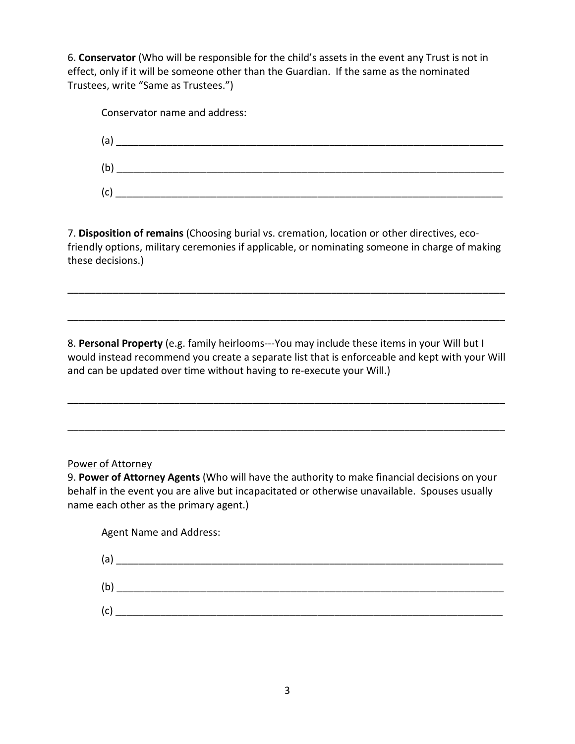6. **Conservator** (Who will be responsible for the child's assets in the event any Trust is not in effect, only if it will be someone other than the Guardian. If the same as the nominated Trustees, write "Same as Trustees.")

Conservator name and address:

| l a |  |  |  |
|-----|--|--|--|
| b   |  |  |  |
|     |  |  |  |

7. **Disposition of remains** (Choosing burial vs. cremation, location or other directives, eco‐ friendly options, military ceremonies if applicable, or nominating someone in charge of making these decisions.)

\_\_\_\_\_\_\_\_\_\_\_\_\_\_\_\_\_\_\_\_\_\_\_\_\_\_\_\_\_\_\_\_\_\_\_\_\_\_\_\_\_\_\_\_\_\_\_\_\_\_\_\_\_\_\_\_\_\_\_\_\_\_\_\_\_\_\_\_\_\_\_\_\_\_\_\_\_\_

\_\_\_\_\_\_\_\_\_\_\_\_\_\_\_\_\_\_\_\_\_\_\_\_\_\_\_\_\_\_\_\_\_\_\_\_\_\_\_\_\_\_\_\_\_\_\_\_\_\_\_\_\_\_\_\_\_\_\_\_\_\_\_\_\_\_\_\_\_\_\_\_\_\_\_\_\_\_

8. Personal Property (e.g. family heirlooms---You may include these items in your Will but I would instead recommend you create a separate list that is enforceable and kept with your Will and can be updated over time without having to re‐execute your Will.)

\_\_\_\_\_\_\_\_\_\_\_\_\_\_\_\_\_\_\_\_\_\_\_\_\_\_\_\_\_\_\_\_\_\_\_\_\_\_\_\_\_\_\_\_\_\_\_\_\_\_\_\_\_\_\_\_\_\_\_\_\_\_\_\_\_\_\_\_\_\_\_\_\_\_\_\_\_\_

\_\_\_\_\_\_\_\_\_\_\_\_\_\_\_\_\_\_\_\_\_\_\_\_\_\_\_\_\_\_\_\_\_\_\_\_\_\_\_\_\_\_\_\_\_\_\_\_\_\_\_\_\_\_\_\_\_\_\_\_\_\_\_\_\_\_\_\_\_\_\_\_\_\_\_\_\_\_

### Power of Attorney

9. **Power of Attorney Agents** (Who will have the authority to make financial decisions on your behalf in the event you are alive but incapacitated or otherwise unavailable. Spouses usually name each other as the primary agent.)

Agent Name and Address:

| la:      |
|----------|
| b        |
| -<br>. . |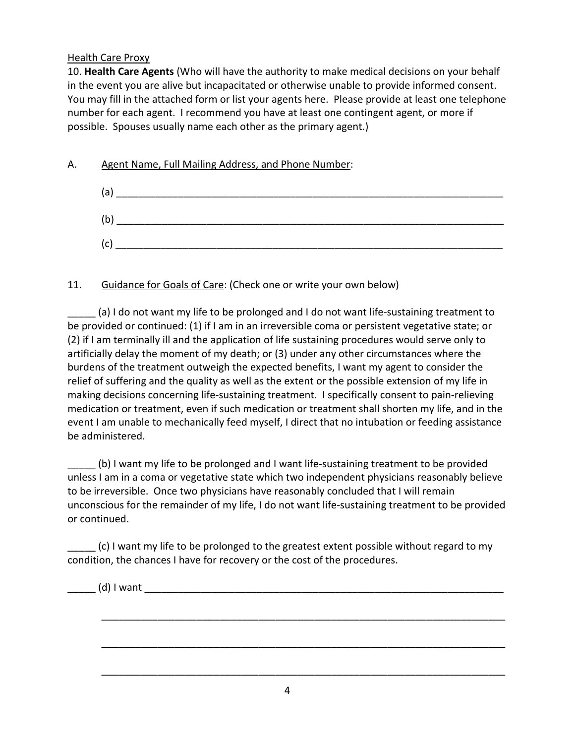# Health Care Proxy

10. **Health Care Agents** (Who will have the authority to make medical decisions on your behalf in the event you are alive but incapacitated or otherwise unable to provide informed consent. You may fill in the attached form or list your agents here. Please provide at least one telephone number for each agent. I recommend you have at least one contingent agent, or more if possible. Spouses usually name each other as the primary agent.)

# A. Agent Name, Full Mailing Address, and Phone Number:

| l a |  |  |
|-----|--|--|
| b   |  |  |
| r   |  |  |

# 11. Guidance for Goals of Care: (Check one or write your own below)

\_\_\_\_\_ (a) I do not want my life to be prolonged and I do not want life‐sustaining treatment to be provided or continued: (1) if I am in an irreversible coma or persistent vegetative state; or (2) if I am terminally ill and the application of life sustaining procedures would serve only to artificially delay the moment of my death; or (3) under any other circumstances where the burdens of the treatment outweigh the expected benefits, I want my agent to consider the relief of suffering and the quality as well as the extent or the possible extension of my life in making decisions concerning life‐sustaining treatment. I specifically consent to pain‐relieving medication or treatment, even if such medication or treatment shall shorten my life, and in the event I am unable to mechanically feed myself, I direct that no intubation or feeding assistance be administered.

\_\_\_\_\_ (b) I want my life to be prolonged and I want life‐sustaining treatment to be provided unless I am in a coma or vegetative state which two independent physicians reasonably believe to be irreversible. Once two physicians have reasonably concluded that I will remain unconscious for the remainder of my life, I do not want life‐sustaining treatment to be provided or continued.

\_\_\_\_\_ (c) I want my life to be prolonged to the greatest extent possible without regard to my condition, the chances I have for recovery or the cost of the procedures.

 $(d)$  I want  $\overline{\phantom{a}}$ 

\_\_\_\_\_\_\_\_\_\_\_\_\_\_\_\_\_\_\_\_\_\_\_\_\_\_\_\_\_\_\_\_\_\_\_\_\_\_\_\_\_\_\_\_\_\_\_\_\_\_\_\_\_\_\_\_\_\_\_\_\_\_\_\_\_\_\_\_\_\_\_\_

\_\_\_\_\_\_\_\_\_\_\_\_\_\_\_\_\_\_\_\_\_\_\_\_\_\_\_\_\_\_\_\_\_\_\_\_\_\_\_\_\_\_\_\_\_\_\_\_\_\_\_\_\_\_\_\_\_\_\_\_\_\_\_\_\_\_\_\_\_\_\_\_

\_\_\_\_\_\_\_\_\_\_\_\_\_\_\_\_\_\_\_\_\_\_\_\_\_\_\_\_\_\_\_\_\_\_\_\_\_\_\_\_\_\_\_\_\_\_\_\_\_\_\_\_\_\_\_\_\_\_\_\_\_\_\_\_\_\_\_\_\_\_\_\_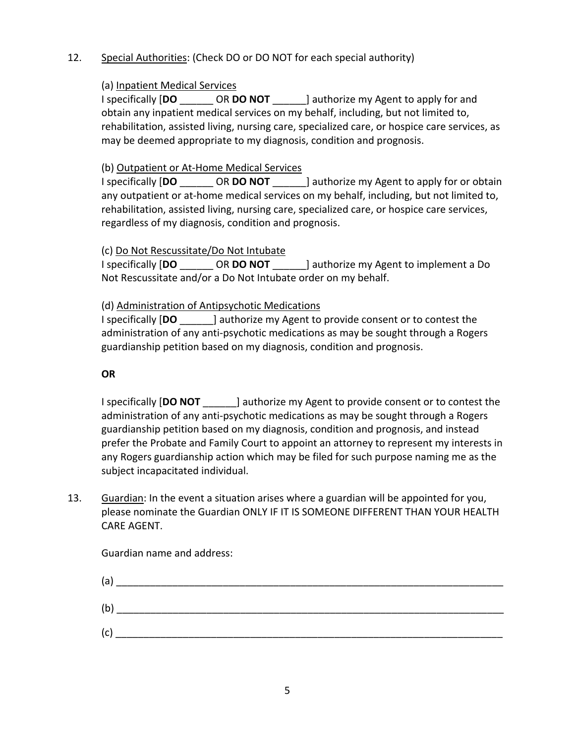# 12. Special Authorities: (Check DO or DO NOT for each special authority)

## (a) Inpatient Medical Services

 I specifically [**DO** \_\_\_\_\_\_ OR **DO NOT** \_\_\_\_\_\_] authorize my Agent to apply for and obtain any inpatient medical services on my behalf, including, but not limited to, rehabilitation, assisted living, nursing care, specialized care, or hospice care services, as may be deemed appropriate to my diagnosis, condition and prognosis.

# (b) Outpatient or At‐Home Medical Services

 I specifically [**DO** \_\_\_\_\_\_ OR **DO NOT** \_\_\_\_\_\_] authorize my Agent to apply for or obtain any outpatient or at-home medical services on my behalf, including, but not limited to, rehabilitation, assisted living, nursing care, specialized care, or hospice care services, regardless of my diagnosis, condition and prognosis.

# (c) Do Not Rescussitate/Do Not Intubate

 I specifically [**DO** \_\_\_\_\_\_ OR **DO NOT** \_\_\_\_\_\_] authorize my Agent to implement a Do Not Rescussitate and/or a Do Not Intubate order on my behalf.

### (d) Administration of Antipsychotic Medications

 I specifically [**DO** \_\_\_\_\_\_] authorize my Agent to provide consent or to contest the administration of any anti‐psychotic medications as may be sought through a Rogers guardianship petition based on my diagnosis, condition and prognosis.

# **OR**

 I specifically [**DO NOT** \_\_\_\_\_\_] authorize my Agent to provide consent or to contest the administration of any anti‐psychotic medications as may be sought through a Rogers guardianship petition based on my diagnosis, condition and prognosis, and instead prefer the Probate and Family Court to appoint an attorney to represent my interests in any Rogers guardianship action which may be filed for such purpose naming me as the subject incapacitated individual.

13. Guardian: In the event a situation arises where a guardian will be appointed for you, please nominate the Guardian ONLY IF IT IS SOMEONE DIFFERENT THAN YOUR HEALTH CARE AGENT.

Guardian name and address: